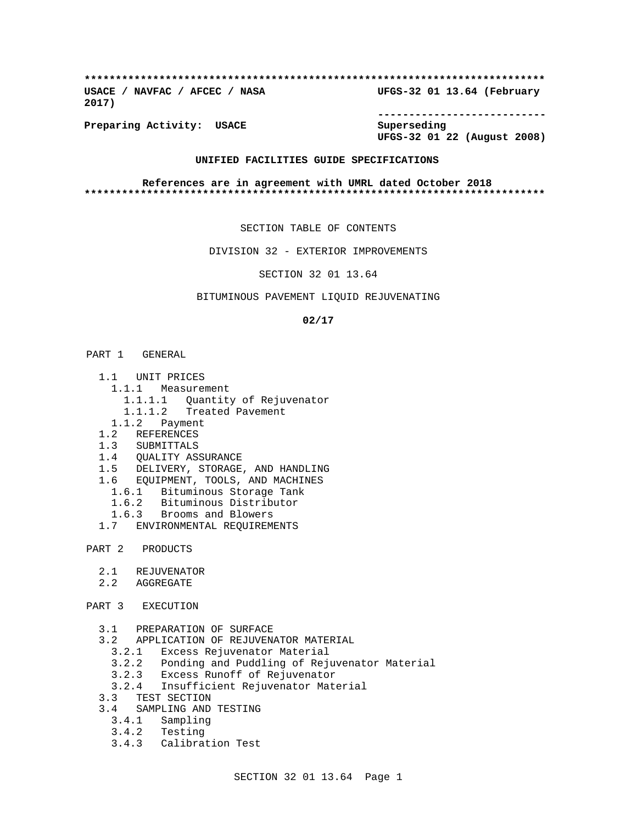**\*\*\*\*\*\*\*\*\*\*\*\*\*\*\*\*\*\*\*\*\*\*\*\*\*\*\*\*\*\*\*\*\*\*\*\*\*\*\*\*\*\*\*\*\*\*\*\*\*\*\*\*\*\*\*\*\*\*\*\*\*\*\*\*\*\*\*\*\*\*\*\*\*\* USACE / NAVFAC / AFCEC / NASA UFGS-32 01 13.64 (February 2017)**

**Preparing Activity: USACE Superseding**

**---------------------------**

**UFGS-32 01 22 (August 2008)**

# **UNIFIED FACILITIES GUIDE SPECIFICATIONS**

**References are in agreement with UMRL dated October 2018 \*\*\*\*\*\*\*\*\*\*\*\*\*\*\*\*\*\*\*\*\*\*\*\*\*\*\*\*\*\*\*\*\*\*\*\*\*\*\*\*\*\*\*\*\*\*\*\*\*\*\*\*\*\*\*\*\*\*\*\*\*\*\*\*\*\*\*\*\*\*\*\*\*\***

SECTION TABLE OF CONTENTS

DIVISION 32 - EXTERIOR IMPROVEMENTS

SECTION 32 01 13.64

#### BITUMINOUS PAVEMENT LIQUID REJUVENATING

#### **02/17**

#### PART 1 GENERAL

- 1.1 UNIT PRICES
	- 1.1.1 Measurement
		- 1.1.1.1 Quantity of Rejuvenator
		- 1.1.1.2 Treated Pavement
	- 1.1.2 Payment
- 1.2 REFERENCES
- 1.3 SUBMITTALS
- 1.4 QUALITY ASSURANCE
- 1.5 DELIVERY, STORAGE, AND HANDLING
- 1.6 EQUIPMENT, TOOLS, AND MACHINES
	- 1.6.1 Bituminous Storage Tank
	- 1.6.2 Bituminous Distributor
	- 1.6.3 Brooms and Blowers
- 1.7 ENVIRONMENTAL REQUIREMENTS

## PART 2 PRODUCTS

- 2.1 REJUVENATOR
- 2.2 AGGREGATE
- PART 3 EXECUTION
	- 3.1 PREPARATION OF SURFACE
	- 3.2 APPLICATION OF REJUVENATOR MATERIAL
		- 3.2.1 Excess Rejuvenator Material
		- 3.2.2 Ponding and Puddling of Rejuvenator Material
		- 3.2.3 Excess Runoff of Rejuvenator
		- 3.2.4 Insufficient Rejuvenator Material
	- 3.3 TEST SECTION
	- 3.4 SAMPLING AND TESTING
		- 3.4.1 Sampling
		- 3.4.2 Testing
		- 3.4.3 Calibration Test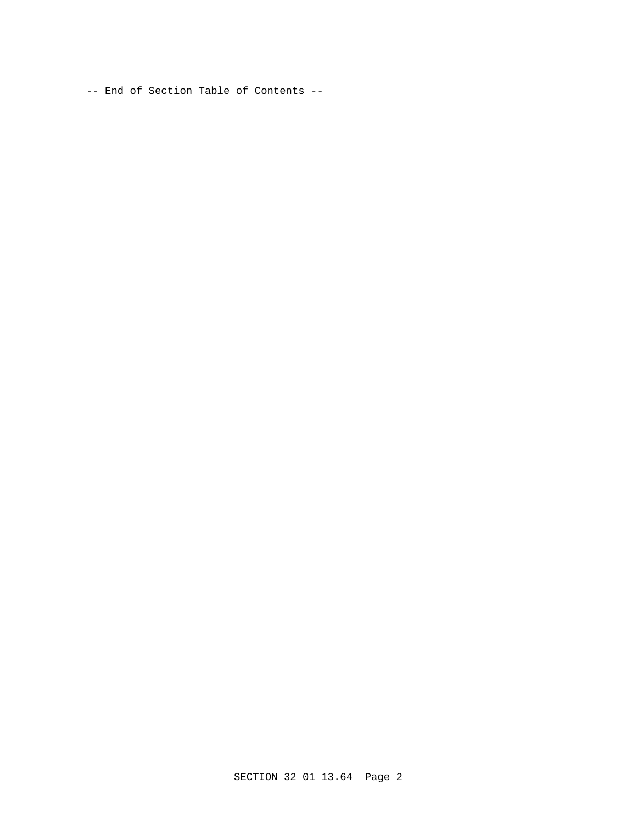-- End of Section Table of Contents --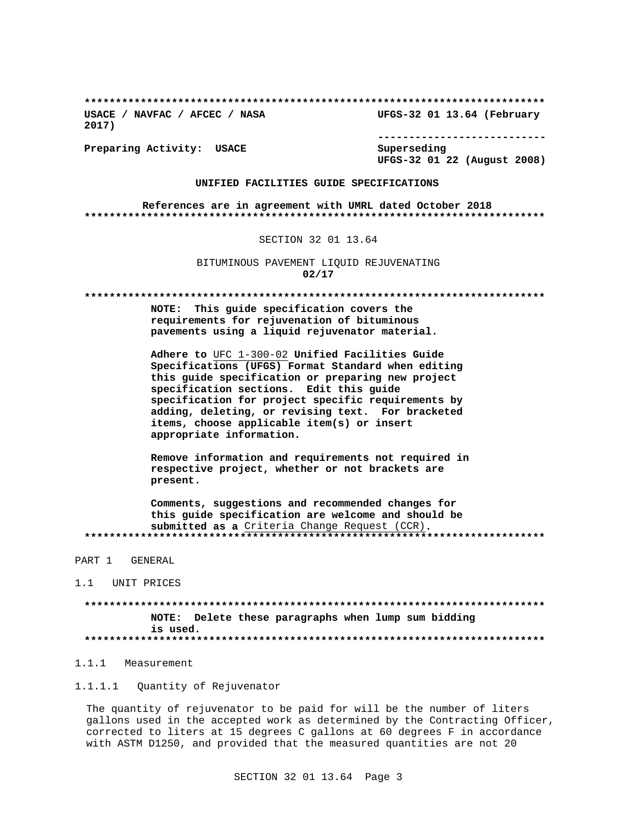**\*\*\*\*\*\*\*\*\*\*\*\*\*\*\*\*\*\*\*\*\*\*\*\*\*\*\*\*\*\*\*\*\*\*\*\*\*\*\*\*\*\*\*\*\*\*\*\*\*\*\*\*\*\*\*\*\*\*\*\*\*\*\*\*\*\*\*\*\*\*\*\*\*\* USACE / NAVFAC / AFCEC / NASA UFGS-32 01 13.64 (February**

**2017)**

**--------------------------- UFGS-32 01 22 (August 2008)**

**Preparing Activity: USACE Superseding**

## **UNIFIED FACILITIES GUIDE SPECIFICATIONS**

**References are in agreement with UMRL dated October 2018 \*\*\*\*\*\*\*\*\*\*\*\*\*\*\*\*\*\*\*\*\*\*\*\*\*\*\*\*\*\*\*\*\*\*\*\*\*\*\*\*\*\*\*\*\*\*\*\*\*\*\*\*\*\*\*\*\*\*\*\*\*\*\*\*\*\*\*\*\*\*\*\*\*\***

# SECTION 32 01 13.64

BITUMINOUS PAVEMENT LIQUID REJUVENATING **02/17**

**\*\*\*\*\*\*\*\*\*\*\*\*\*\*\*\*\*\*\*\*\*\*\*\*\*\*\*\*\*\*\*\*\*\*\*\*\*\*\*\*\*\*\*\*\*\*\*\*\*\*\*\*\*\*\*\*\*\*\*\*\*\*\*\*\*\*\*\*\*\*\*\*\*\***

**NOTE: This guide specification covers the requirements for rejuvenation of bituminous pavements using a liquid rejuvenator material.**

**Adhere to** UFC 1-300-02 **Unified Facilities Guide Specifications (UFGS) Format Standard when editing this guide specification or preparing new project specification sections. Edit this guide specification for project specific requirements by adding, deleting, or revising text. For bracketed items, choose applicable item(s) or insert appropriate information.**

**Remove information and requirements not required in respective project, whether or not brackets are present.**

**Comments, suggestions and recommended changes for this guide specification are welcome and should be submitted as a** Criteria Change Request (CCR)**. \*\*\*\*\*\*\*\*\*\*\*\*\*\*\*\*\*\*\*\*\*\*\*\*\*\*\*\*\*\*\*\*\*\*\*\*\*\*\*\*\*\*\*\*\*\*\*\*\*\*\*\*\*\*\*\*\*\*\*\*\*\*\*\*\*\*\*\*\*\*\*\*\*\***

PART 1 GENERAL

1.1 UNIT PRICES

**\*\*\*\*\*\*\*\*\*\*\*\*\*\*\*\*\*\*\*\*\*\*\*\*\*\*\*\*\*\*\*\*\*\*\*\*\*\*\*\*\*\*\*\*\*\*\*\*\*\*\*\*\*\*\*\*\*\*\*\*\*\*\*\*\*\*\*\*\*\*\*\*\*\* NOTE: Delete these paragraphs when lump sum bidding is used. \*\*\*\*\*\*\*\*\*\*\*\*\*\*\*\*\*\*\*\*\*\*\*\*\*\*\*\*\*\*\*\*\*\*\*\*\*\*\*\*\*\*\*\*\*\*\*\*\*\*\*\*\*\*\*\*\*\*\*\*\*\*\*\*\*\*\*\*\*\*\*\*\*\***

# 1.1.1 Measurement

1.1.1.1 Quantity of Rejuvenator

The quantity of rejuvenator to be paid for will be the number of liters gallons used in the accepted work as determined by the Contracting Officer, corrected to liters at 15 degrees C gallons at 60 degrees F in accordance with ASTM D1250, and provided that the measured quantities are not 20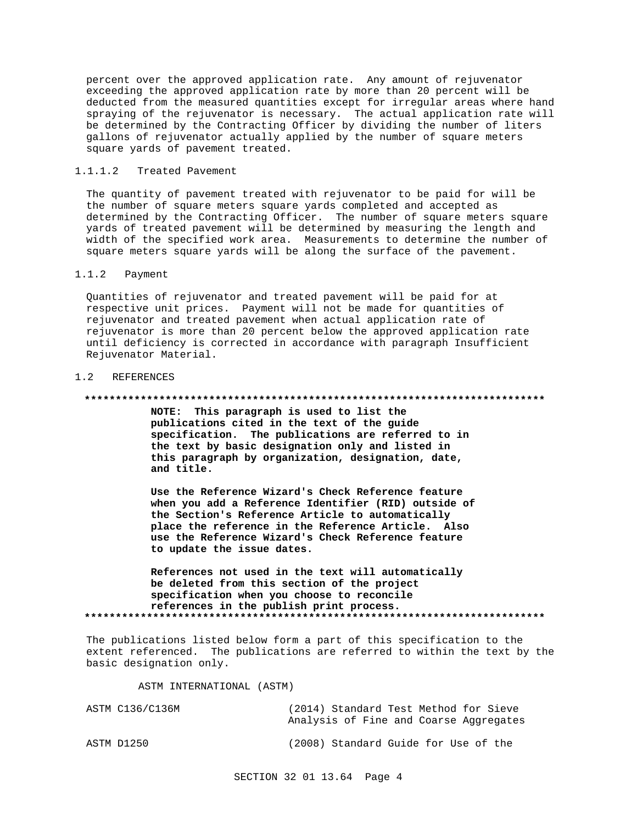percent over the approved application rate. Any amount of rejuvenator exceeding the approved application rate by more than 20 percent will be deducted from the measured quantities except for irregular areas where hand spraying of the rejuvenator is necessary. The actual application rate will be determined by the Contracting Officer by dividing the number of liters gallons of rejuvenator actually applied by the number of square meters square yards of pavement treated.

## 1.1.1.2 Treated Pavement

The quantity of pavement treated with rejuvenator to be paid for will be the number of square meters square yards completed and accepted as determined by the Contracting Officer. The number of square meters square yards of treated pavement will be determined by measuring the length and width of the specified work area. Measurements to determine the number of square meters square yards will be along the surface of the pavement.

# 1.1.2 Payment

Quantities of rejuvenator and treated pavement will be paid for at respective unit prices. Payment will not be made for quantities of rejuvenator and treated pavement when actual application rate of rejuvenator is more than 20 percent below the approved application rate until deficiency is corrected in accordance with paragraph Insufficient Rejuvenator Material.

## 1.2 REFERENCES

#### **\*\*\*\*\*\*\*\*\*\*\*\*\*\*\*\*\*\*\*\*\*\*\*\*\*\*\*\*\*\*\*\*\*\*\*\*\*\*\*\*\*\*\*\*\*\*\*\*\*\*\*\*\*\*\*\*\*\*\*\*\*\*\*\*\*\*\*\*\*\*\*\*\*\***

**NOTE: This paragraph is used to list the publications cited in the text of the guide specification. The publications are referred to in the text by basic designation only and listed in this paragraph by organization, designation, date, and title.**

**Use the Reference Wizard's Check Reference feature when you add a Reference Identifier (RID) outside of the Section's Reference Article to automatically place the reference in the Reference Article. Also use the Reference Wizard's Check Reference feature to update the issue dates.**

**References not used in the text will automatically be deleted from this section of the project specification when you choose to reconcile references in the publish print process. \*\*\*\*\*\*\*\*\*\*\*\*\*\*\*\*\*\*\*\*\*\*\*\*\*\*\*\*\*\*\*\*\*\*\*\*\*\*\*\*\*\*\*\*\*\*\*\*\*\*\*\*\*\*\*\*\*\*\*\*\*\*\*\*\*\*\*\*\*\*\*\*\*\***

The publications listed below form a part of this specification to the extent referenced. The publications are referred to within the text by the basic designation only.

ASTM INTERNATIONAL (ASTM)

| ASTM C136/C136M | (2014) Standard Test Method for Sieve  |  |  |  |
|-----------------|----------------------------------------|--|--|--|
|                 | Analysis of Fine and Coarse Aggregates |  |  |  |
| ASTM D1250      | (2008) Standard Guide for Use of the   |  |  |  |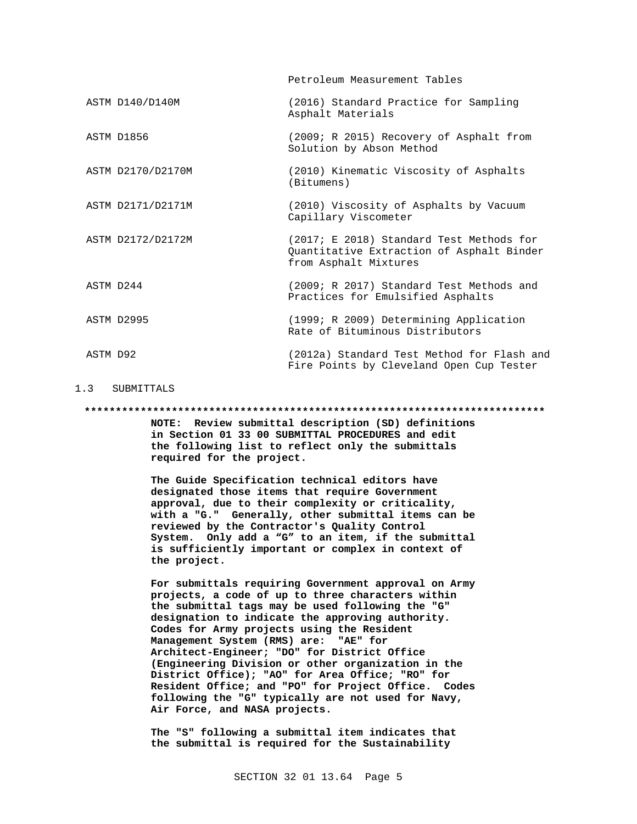Petroleum Measurement Tables

- ASTM D140/D140M (2016) Standard Practice for Sampling Asphalt Materials ASTM D1856 (2009; R 2015) Recovery of Asphalt from Solution by Abson Method ASTM D2170/D2170M (2010) Kinematic Viscosity of Asphalts (Bitumens) ASTM D2171/D2171M (2010) Viscosity of Asphalts by Vacuum Capillary Viscometer
- ASTM D2172/D2172M (2017; E 2018) Standard Test Methods for Quantitative Extraction of Asphalt Binder from Asphalt Mixtures
- ASTM D244 (2009; R 2017) Standard Test Methods and Practices for Emulsified Asphalts
- ASTM D2995 (1999; R 2009) Determining Application Rate of Bituminous Distributors
- ASTM D92 (2012a) Standard Test Method for Flash and Fire Points by Cleveland Open Cup Tester

### 1.3 SUBMITTALS

#### **\*\*\*\*\*\*\*\*\*\*\*\*\*\*\*\*\*\*\*\*\*\*\*\*\*\*\*\*\*\*\*\*\*\*\*\*\*\*\*\*\*\*\*\*\*\*\*\*\*\*\*\*\*\*\*\*\*\*\*\*\*\*\*\*\*\*\*\*\*\*\*\*\*\***

**NOTE: Review submittal description (SD) definitions in Section 01 33 00 SUBMITTAL PROCEDURES and edit the following list to reflect only the submittals required for the project.**

**The Guide Specification technical editors have designated those items that require Government approval, due to their complexity or criticality, with a "G." Generally, other submittal items can be reviewed by the Contractor's Quality Control System. Only add a "G" to an item, if the submittal is sufficiently important or complex in context of the project.**

**For submittals requiring Government approval on Army projects, a code of up to three characters within the submittal tags may be used following the "G" designation to indicate the approving authority. Codes for Army projects using the Resident Management System (RMS) are: "AE" for Architect-Engineer; "DO" for District Office (Engineering Division or other organization in the District Office); "AO" for Area Office; "RO" for Resident Office; and "PO" for Project Office. Codes following the "G" typically are not used for Navy, Air Force, and NASA projects.**

**The "S" following a submittal item indicates that the submittal is required for the Sustainability**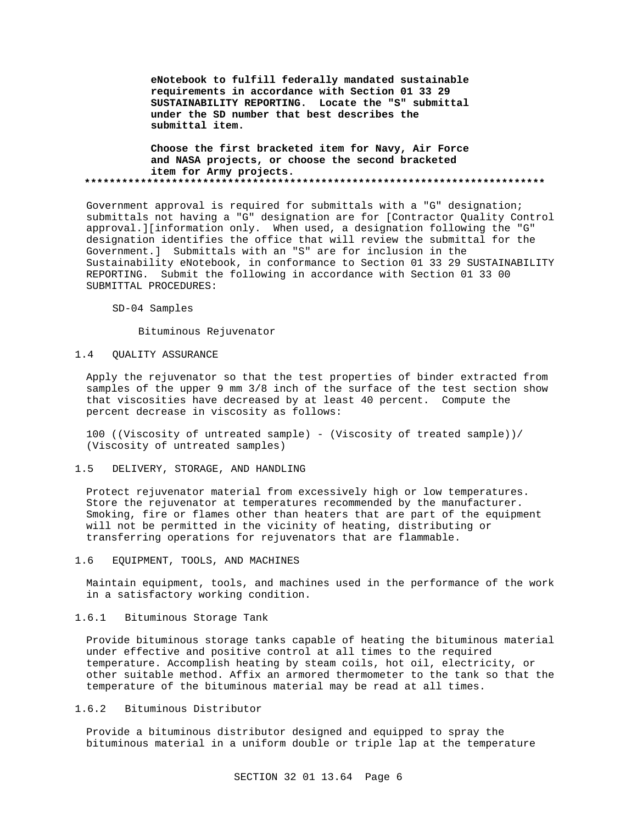**eNotebook to fulfill federally mandated sustainable requirements in accordance with Section 01 33 29 SUSTAINABILITY REPORTING. Locate the "S" submittal under the SD number that best describes the submittal item.**

**Choose the first bracketed item for Navy, Air Force and NASA projects, or choose the second bracketed item for Army projects. \*\*\*\*\*\*\*\*\*\*\*\*\*\*\*\*\*\*\*\*\*\*\*\*\*\*\*\*\*\*\*\*\*\*\*\*\*\*\*\*\*\*\*\*\*\*\*\*\*\*\*\*\*\*\*\*\*\*\*\*\*\*\*\*\*\*\*\*\*\*\*\*\*\***

Government approval is required for submittals with a "G" designation; submittals not having a "G" designation are for [Contractor Quality Control approval.][information only. When used, a designation following the "G" designation identifies the office that will review the submittal for the Government.] Submittals with an "S" are for inclusion in the Sustainability eNotebook, in conformance to Section 01 33 29 SUSTAINABILITY REPORTING. Submit the following in accordance with Section 01 33 00 SUBMITTAL PROCEDURES:

SD-04 Samples

Bituminous Rejuvenator

#### 1.4 QUALITY ASSURANCE

Apply the rejuvenator so that the test properties of binder extracted from samples of the upper 9 mm 3/8 inch of the surface of the test section show that viscosities have decreased by at least 40 percent. Compute the percent decrease in viscosity as follows:

100 ((Viscosity of untreated sample) - (Viscosity of treated sample))/ (Viscosity of untreated samples)

#### 1.5 DELIVERY, STORAGE, AND HANDLING

Protect rejuvenator material from excessively high or low temperatures. Store the rejuvenator at temperatures recommended by the manufacturer. Smoking, fire or flames other than heaters that are part of the equipment will not be permitted in the vicinity of heating, distributing or transferring operations for rejuvenators that are flammable.

#### 1.6 EQUIPMENT, TOOLS, AND MACHINES

Maintain equipment, tools, and machines used in the performance of the work in a satisfactory working condition.

# 1.6.1 Bituminous Storage Tank

Provide bituminous storage tanks capable of heating the bituminous material under effective and positive control at all times to the required temperature. Accomplish heating by steam coils, hot oil, electricity, or other suitable method. Affix an armored thermometer to the tank so that the temperature of the bituminous material may be read at all times.

# 1.6.2 Bituminous Distributor

Provide a bituminous distributor designed and equipped to spray the bituminous material in a uniform double or triple lap at the temperature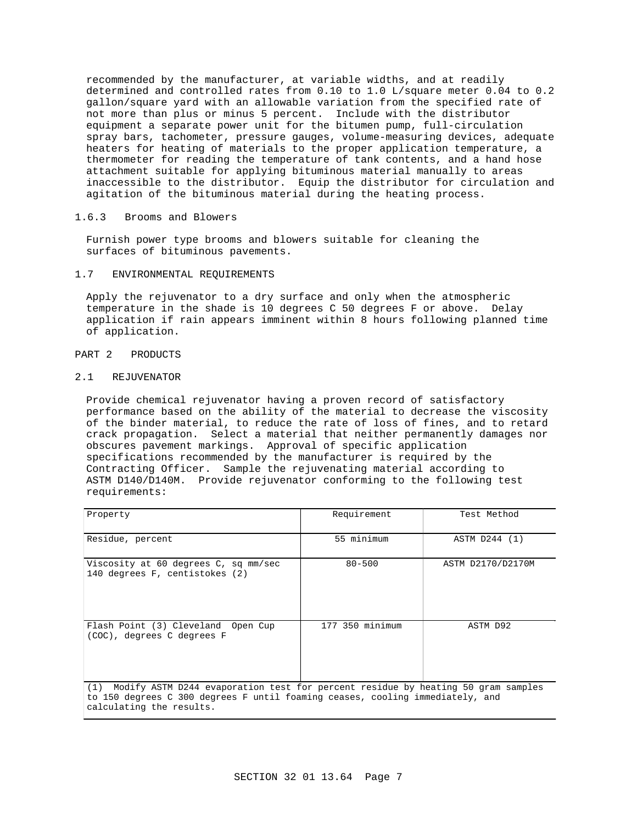recommended by the manufacturer, at variable widths, and at readily determined and controlled rates from 0.10 to 1.0 L/square meter 0.04 to 0.2 gallon/square yard with an allowable variation from the specified rate of not more than plus or minus 5 percent. Include with the distributor equipment a separate power unit for the bitumen pump, full-circulation spray bars, tachometer, pressure gauges, volume-measuring devices, adequate heaters for heating of materials to the proper application temperature, a thermometer for reading the temperature of tank contents, and a hand hose attachment suitable for applying bituminous material manually to areas inaccessible to the distributor. Equip the distributor for circulation and agitation of the bituminous material during the heating process.

# 1.6.3 Brooms and Blowers

Furnish power type brooms and blowers suitable for cleaning the surfaces of bituminous pavements.

#### 1.7 ENVIRONMENTAL REQUIREMENTS

Apply the rejuvenator to a dry surface and only when the atmospheric temperature in the shade is 10 degrees C 50 degrees F or above. Delay application if rain appears imminent within 8 hours following planned time of application.

## PART 2 PRODUCTS

# 2.1 REJUVENATOR

Provide chemical rejuvenator having a proven record of satisfactory performance based on the ability of the material to decrease the viscosity of the binder material, to reduce the rate of loss of fines, and to retard crack propagation. Select a material that neither permanently damages nor obscures pavement markings. Approval of specific application specifications recommended by the manufacturer is required by the Contracting Officer. Sample the rejuvenating material according to ASTM D140/D140M. Provide rejuvenator conforming to the following test requirements:

| Property                                                                                                                                                                                          | Requirement     | Test Method       |  |  |
|---------------------------------------------------------------------------------------------------------------------------------------------------------------------------------------------------|-----------------|-------------------|--|--|
| Residue, percent                                                                                                                                                                                  | 55 minimum      | ASTM D244 (1)     |  |  |
| Viscosity at 60 degrees C, sq mm/sec<br>140 degrees F, centistokes (2)                                                                                                                            | $80 - 500$      | ASTM D2170/D2170M |  |  |
| Flash Point (3) Cleveland Open Cup<br>(COC), degrees C degrees F                                                                                                                                  | 177 350 minimum | ASTM D92          |  |  |
| (1) Modify ASTM D244 evaporation test for percent residue by heating 50 gram samples<br>to 150 degrees C 300 degrees F until foaming ceases, cooling immediately, and<br>calculating the results. |                 |                   |  |  |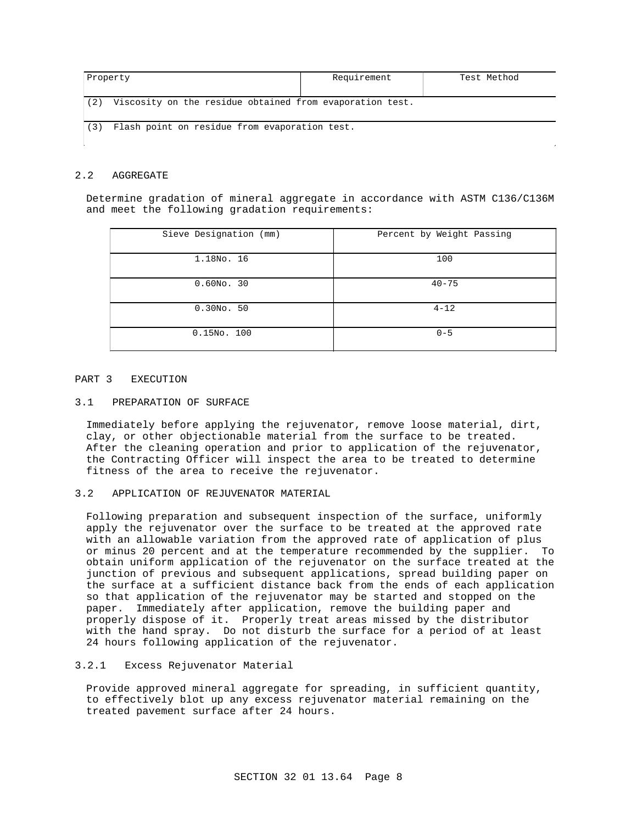| Property |                                                          | Requirement | Test Method |
|----------|----------------------------------------------------------|-------------|-------------|
| (2)      | Viscosity on the residue obtained from evaporation test. |             |             |
| (3)      | Flash point on residue from evaporation test.            |             |             |
|          |                                                          |             |             |

# 2.2 AGGREGATE

Determine gradation of mineral aggregate in accordance with ASTM C136/C136M and meet the following gradation requirements:

| Sieve Designation (mm) | Percent by Weight Passing |
|------------------------|---------------------------|
| 1.18No. 16             | 100                       |
| $0.60NO$ . 30          | $40 - 75$                 |
| $0.30NO$ . 50          | $4 - 12$                  |
| $0.15NO$ . 100         | $0 - 5$                   |

#### PART 3 EXECUTION

#### 3.1 PREPARATION OF SURFACE

Immediately before applying the rejuvenator, remove loose material, dirt, clay, or other objectionable material from the surface to be treated. After the cleaning operation and prior to application of the rejuvenator, the Contracting Officer will inspect the area to be treated to determine fitness of the area to receive the rejuvenator.

# 3.2 APPLICATION OF REJUVENATOR MATERIAL

Following preparation and subsequent inspection of the surface, uniformly apply the rejuvenator over the surface to be treated at the approved rate with an allowable variation from the approved rate of application of plus or minus 20 percent and at the temperature recommended by the supplier. To obtain uniform application of the rejuvenator on the surface treated at the junction of previous and subsequent applications, spread building paper on the surface at a sufficient distance back from the ends of each application so that application of the rejuvenator may be started and stopped on the paper. Immediately after application, remove the building paper and properly dispose of it. Properly treat areas missed by the distributor with the hand spray. Do not disturb the surface for a period of at least 24 hours following application of the rejuvenator.

## 3.2.1 Excess Rejuvenator Material

Provide approved mineral aggregate for spreading, in sufficient quantity, to effectively blot up any excess rejuvenator material remaining on the treated pavement surface after 24 hours.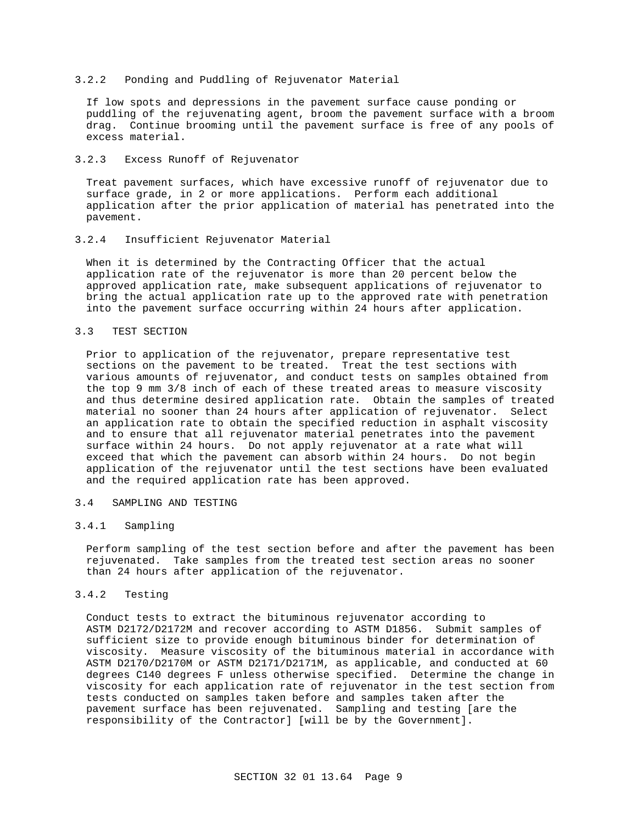### 3.2.2 Ponding and Puddling of Rejuvenator Material

If low spots and depressions in the pavement surface cause ponding or puddling of the rejuvenating agent, broom the pavement surface with a broom drag. Continue brooming until the pavement surface is free of any pools of excess material.

### 3.2.3 Excess Runoff of Rejuvenator

Treat pavement surfaces, which have excessive runoff of rejuvenator due to surface grade, in 2 or more applications. Perform each additional application after the prior application of material has penetrated into the pavement.

## 3.2.4 Insufficient Rejuvenator Material

When it is determined by the Contracting Officer that the actual application rate of the rejuvenator is more than 20 percent below the approved application rate, make subsequent applications of rejuvenator to bring the actual application rate up to the approved rate with penetration into the pavement surface occurring within 24 hours after application.

## 3.3 TEST SECTION

Prior to application of the rejuvenator, prepare representative test sections on the pavement to be treated. Treat the test sections with various amounts of rejuvenator, and conduct tests on samples obtained from the top 9 mm 3/8 inch of each of these treated areas to measure viscosity and thus determine desired application rate. Obtain the samples of treated material no sooner than 24 hours after application of rejuvenator. Select an application rate to obtain the specified reduction in asphalt viscosity and to ensure that all rejuvenator material penetrates into the pavement surface within 24 hours. Do not apply rejuvenator at a rate what will exceed that which the pavement can absorb within 24 hours. Do not begin application of the rejuvenator until the test sections have been evaluated and the required application rate has been approved.

# 3.4 SAMPLING AND TESTING

# 3.4.1 Sampling

Perform sampling of the test section before and after the pavement has been rejuvenated. Take samples from the treated test section areas no sooner than 24 hours after application of the rejuvenator.

# 3.4.2 Testing

Conduct tests to extract the bituminous rejuvenator according to ASTM D2172/D2172M and recover according to ASTM D1856. Submit samples of sufficient size to provide enough bituminous binder for determination of viscosity. Measure viscosity of the bituminous material in accordance with ASTM D2170/D2170M or ASTM D2171/D2171M, as applicable, and conducted at 60 degrees C140 degrees F unless otherwise specified. Determine the change in viscosity for each application rate of rejuvenator in the test section from tests conducted on samples taken before and samples taken after the pavement surface has been rejuvenated. Sampling and testing [are the responsibility of the Contractor] [will be by the Government].